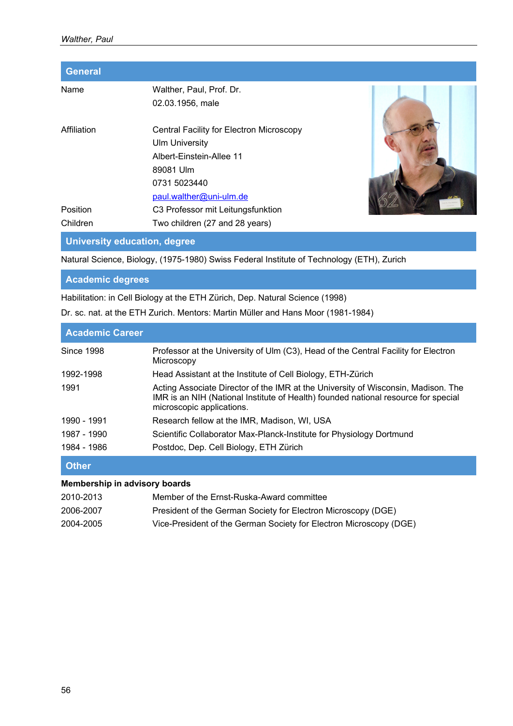| <b>General</b>       |                                                                                                                            |  |
|----------------------|----------------------------------------------------------------------------------------------------------------------------|--|
| Name                 | Walther, Paul, Prof. Dr.<br>02.03.1956, male                                                                               |  |
| Affiliation          | Central Facility for Electron Microscopy<br><b>Ulm University</b><br>Albert-Einstein-Allee 11<br>89081 Ulm<br>0731 5023440 |  |
| Position<br>Children | paul.walther@uni-ulm.de<br>C3 Professor mit Leitungsfunktion<br>Two children (27 and 28 years)                             |  |
|                      |                                                                                                                            |  |

**University education, degree** 

Natural Science, Biology, (1975-1980) Swiss Federal Institute of Technology (ETH), Zurich

**Academic degrees** 

Habilitation: in Cell Biology at the ETH Zürich, Dep. Natural Science (1998)

Dr. sc. nat. at the ETH Zurich. Mentors: Martin Müller and Hans Moor (1981-1984)

| <b>Academic Career</b> |                                                                                                                                                                                                      |
|------------------------|------------------------------------------------------------------------------------------------------------------------------------------------------------------------------------------------------|
| <b>Since 1998</b>      | Professor at the University of Ulm (C3), Head of the Central Facility for Electron<br>Microscopy                                                                                                     |
| 1992-1998              | Head Assistant at the Institute of Cell Biology, ETH-Zürich                                                                                                                                          |
| 1991                   | Acting Associate Director of the IMR at the University of Wisconsin, Madison. The<br>IMR is an NIH (National Institute of Health) founded national resource for special<br>microscopic applications. |
| 1990 - 1991            | Research fellow at the IMR, Madison, WI, USA                                                                                                                                                         |
| 1987 - 1990            | Scientific Collaborator Max-Planck-Institute for Physiology Dortmund                                                                                                                                 |
| 1984 - 1986            | Postdoc, Dep. Cell Biology, ETH Zürich                                                                                                                                                               |

**Other** 

## **Membership in advisory boards**

| 2010-2013 | Member of the Ernst-Ruska-Award committee                          |
|-----------|--------------------------------------------------------------------|
| 2006-2007 | President of the German Society for Electron Microscopy (DGE)      |
| 2004-2005 | Vice-President of the German Society for Electron Microscopy (DGE) |